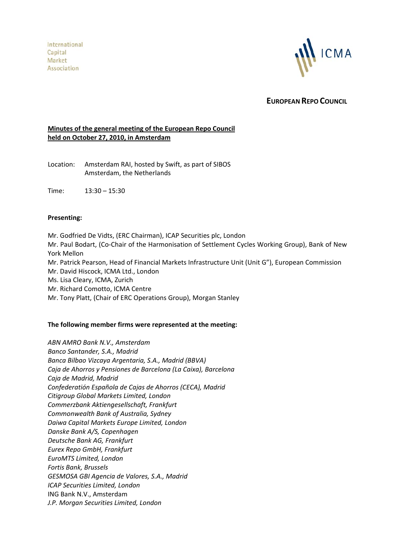International Capital Market Association



**EUROPEAN REPO COUNCIL**

# **Minutes of the general meeting of the European Repo Council held on October 27, 2010, in Amsterdam**

Location: Amsterdam RAI, hosted by Swift, as part of SIBOS Amsterdam, the Netherlands

Time: 13:30 – 15:30

#### **Presenting:**

Mr. Godfried De Vidts, (ERC Chairman), ICAP Securities plc, London Mr. Paul Bodart, (Co‐Chair of the Harmonisation of Settlement Cycles Working Group), Bank of New York Mellon Mr. Patrick Pearson, Head of Financial Markets Infrastructure Unit (Unit G"), European Commission Mr. David Hiscock, ICMA Ltd., London Ms. Lisa Cleary, ICMA, Zurich Mr. Richard Comotto, ICMA Centre Mr. Tony Platt, (Chair of ERC Operations Group), Morgan Stanley

#### **The following member firms were represented at the meeting:**

*ABN AMRO Bank N.V., Amsterdam Banco Santander, S.A., Madrid Banca Bilbao Vizcaya Argentaria, S.A., Madrid (BBVA) Caja de Ahorros y Pensiones de Barcelona (La Caixa), Barcelona Caja de Madrid, Madrid Confederatión Española de Cajas de Ahorros (CECA), Madrid Citigroup Global Markets Limited, London Commerzbank Aktiengesellschaft, Frankfurt Commonwealth Bank of Australia, Sydney Daiwa Capital Markets Europe Limited, London Danske Bank A/S, Copenhagen Deutsche Bank AG, Frankfurt Eurex Repo GmbH, Frankfurt EuroMTS Limited, London Fortis Bank, Brussels GESMOSA GBI Agencia de Valores, S.A., Madrid ICAP Securities Limited, London* ING Bank N.V., Amsterdam *J.P. Morgan Securities Limited, London*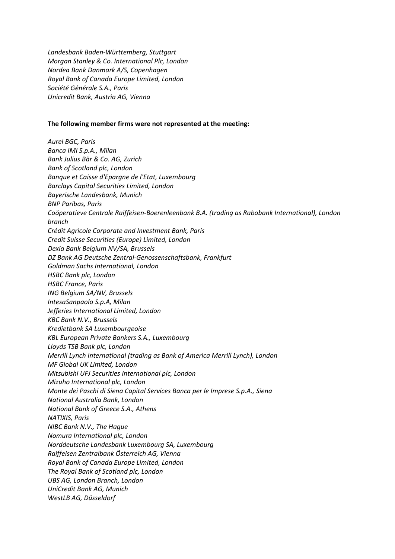*Landesbank Baden‐Württemberg, Stuttgart Morgan Stanley & Co. International Plc, London Nordea Bank Danmark A/S, Copenhagen Royal Bank of Canada Europe Limited, London Société Générale S.A., Paris Unicredit Bank, Austria AG, Vienna*

#### **The following member firms were not represented at the meeting:**

*Aurel BGC, Paris Banca IMI S.p.A., Milan Bank Julius Bär & Co. AG, Zurich Bank of Scotland plc, London Banque et Caisse d'Epargne de l'Etat, Luxembourg Barclays Capital Securities Limited, London Bayerische Landesbank, Munich BNP Paribas, Paris Coöperatieve Centrale Raiffeisen‐Boerenleenbank B.A. (trading as Rabobank International), London branch Crédit Agricole Corporate and Investment Bank, Paris Credit Suisse Securities (Europe) Limited, London Dexia Bank Belgium NV/SA, Brussels DZ Bank AG Deutsche Zentral‐Genossenschaftsbank, Frankfurt Goldman Sachs International, London HSBC Bank plc, London HSBC France, Paris ING Belgium SA/NV, Brussels IntesaSanpaolo S.p.A, Milan Jefferies International Limited, London KBC Bank N.V., Brussels Kredietbank SA Luxembourgeoise KBL European Private Bankers S.A., Luxembourg Lloyds TSB Bank plc, London Merrill Lynch International (trading as Bank of America Merrill Lynch), London MF Global UK Limited, London Mitsubishi UFJ Securities International plc, London Mizuho International plc, London Monte dei Paschi di Siena Capital Services Banca per le Imprese S.p.A., Siena National Australia Bank, London National Bank of Greece S.A., Athens NATIXIS, Paris NIBC Bank N.V., The Hague Nomura International plc, London Norddeutsche Landesbank Luxembourg SA, Luxembourg Raiffeisen Zentralbank Österreich AG, Vienna Royal Bank of Canada Europe Limited, London The Royal Bank of Scotland plc, London UBS AG, London Branch, London UniCredit Bank AG, Munich WestLB AG, Düsseldorf*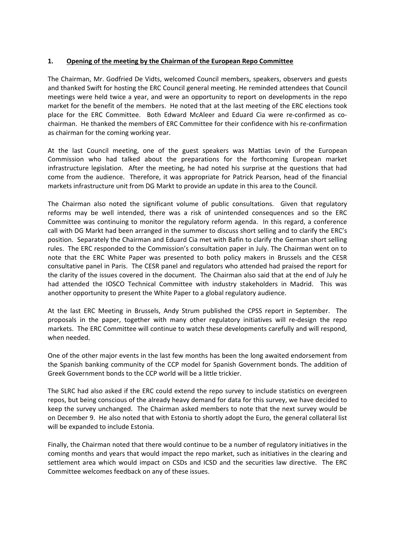### **1. Opening of the meeting by the Chairman of the European Repo Committee**

The Chairman, Mr. Godfried De Vidts, welcomed Council members, speakers, observers and guests and thanked Swift for hosting the ERC Council general meeting. He reminded attendees that Council meetings were held twice a year, and were an opportunity to report on developments in the repo market for the benefit of the members. He noted that at the last meeting of the ERC elections took place for the ERC Committee. Both Edward McAleer and Eduard Cia were re-confirmed as cochairman. He thanked the members of ERC Committee for their confidence with his re‐confirmation as chairman for the coming working year.

At the last Council meeting, one of the guest speakers was Mattias Levin of the European Commission who had talked about the preparations for the forthcoming European market infrastructure legislation. After the meeting, he had noted his surprise at the questions that had come from the audience. Therefore, it was appropriate for Patrick Pearson, head of the financial markets infrastructure unit from DG Markt to provide an update in this area to the Council.

The Chairman also noted the significant volume of public consultations. Given that regulatory reforms may be well intended, there was a risk of unintended consequences and so the ERC Committee was continuing to monitor the regulatory reform agenda. In this regard, a conference call with DG Markt had been arranged in the summer to discuss short selling and to clarify the ERC's position. Separately the Chairman and Eduard Cia met with Bafin to clarify the German short selling rules. The ERC responded to the Commission's consultation paper in July. The Chairman went on to note that the ERC White Paper was presented to both policy makers in Brussels and the CESR consultative panel in Paris. The CESR panel and regulators who attended had praised the report for the clarity of the issues covered in the document. The Chairman also said that at the end of July he had attended the IOSCO Technical Committee with industry stakeholders in Madrid. This was another opportunity to present the White Paper to a global regulatory audience.

At the last ERC Meeting in Brussels, Andy Strum published the CPSS report in September. The proposals in the paper, together with many other regulatory initiatives will re‐design the repo markets. The ERC Committee will continue to watch these developments carefully and will respond, when needed.

One of the other major events in the last few months has been the long awaited endorsement from the Spanish banking community of the CCP model for Spanish Government bonds. The addition of Greek Government bonds to the CCP world will be a little trickier.

The SLRC had also asked if the ERC could extend the repo survey to include statistics on evergreen repos, but being conscious of the already heavy demand for data for this survey, we have decided to keep the survey unchanged. The Chairman asked members to note that the next survey would be on December 9. He also noted that with Estonia to shortly adopt the Euro, the general collateral list will be expanded to include Estonia.

Finally, the Chairman noted that there would continue to be a number of regulatory initiatives in the coming months and years that would impact the repo market, such as initiatives in the clearing and settlement area which would impact on CSDs and ICSD and the securities law directive. The ERC Committee welcomes feedback on any of these issues.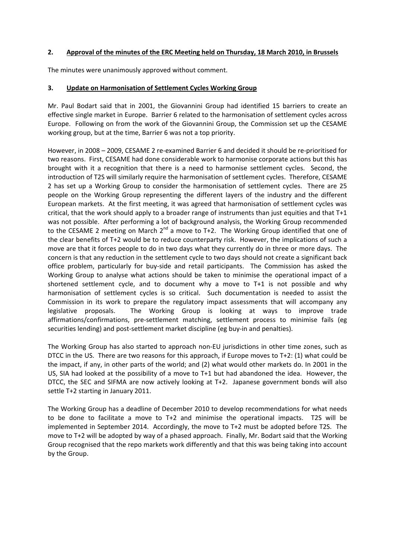### **2. Approval of the minutes of the ERC Meeting held on Thursday, 18 March 2010, in Brussels**

The minutes were unanimously approved without comment.

### **3. Update on Harmonisation of Settlement Cycles Working Group**

Mr. Paul Bodart said that in 2001, the Giovannini Group had identified 15 barriers to create an effective single market in Europe. Barrier 6 related to the harmonisation of settlement cycles across Europe. Following on from the work of the Giovannini Group, the Commission set up the CESAME working group, but at the time, Barrier 6 was not a top priority.

However, in 2008 – 2009, CESAME 2 re‐examined Barrier 6 and decided it should be re‐prioritised for two reasons. First, CESAME had done considerable work to harmonise corporate actions but this has brought with it a recognition that there is a need to harmonise settlement cycles. Second, the introduction of T2S will similarly require the harmonisation of settlement cycles. Therefore, CESAME 2 has set up a Working Group to consider the harmonisation of settlement cycles. There are 25 people on the Working Group representing the different layers of the industry and the different European markets. At the first meeting, it was agreed that harmonisation of settlement cycles was critical, that the work should apply to a broader range of instruments than just equities and that T+1 was not possible. After performing a lot of background analysis, the Working Group recommended to the CESAME 2 meeting on March 2<sup>nd</sup> a move to T+2. The Working Group identified that one of the clear benefits of T+2 would be to reduce counterparty risk. However, the implications of such a move are that it forces people to do in two days what they currently do in three or more days. The concern is that any reduction in the settlement cycle to two days should not create a significant back office problem, particularly for buy‐side and retail participants. The Commission has asked the Working Group to analyse what actions should be taken to minimise the operational impact of a shortened settlement cycle, and to document why a move to T+1 is not possible and why harmonisation of settlement cycles is so critical. Such documentation is needed to assist the Commission in its work to prepare the regulatory impact assessments that will accompany any legislative proposals. The Working Group is looking at ways to improve trade affirmations/confirmations, pre‐settlement matching, settlement process to minimise fails (eg securities lending) and post-settlement market discipline (eg buy-in and penalties).

The Working Group has also started to approach non‐EU jurisdictions in other time zones, such as DTCC in the US. There are two reasons for this approach, if Europe moves to T+2: (1) what could be the impact, if any, in other parts of the world; and (2) what would other markets do. In 2001 in the US, SIA had looked at the possibility of a move to T+1 but had abandoned the idea. However, the DTCC, the SEC and SIFMA are now actively looking at T+2. Japanese government bonds will also settle T+2 starting in January 2011.

The Working Group has a deadline of December 2010 to develop recommendations for what needs to be done to facilitate a move to T+2 and minimise the operational impacts. T2S will be implemented in September 2014. Accordingly, the move to T+2 must be adopted before T2S. The move to T+2 will be adopted by way of a phased approach. Finally, Mr. Bodart said that the Working Group recognised that the repo markets work differently and that this was being taking into account by the Group.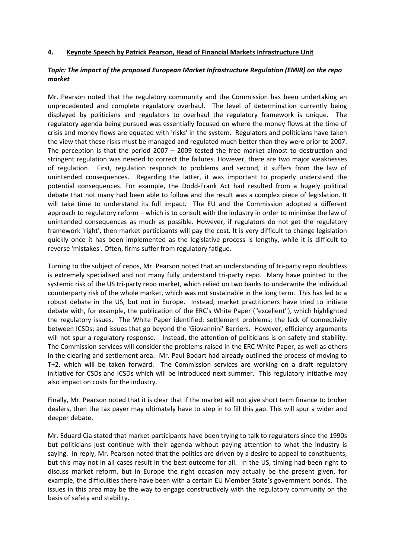#### **4. Keynote Speech by Patrick Pearson, Head of Financial Markets Infrastructure Unit**

### *Topic: The impact of the proposed European Market Infrastructure Regulation (EMIR) on the repo market*

Mr. Pearson noted that the regulatory community and the Commission has been undertaking an unprecedented and complete regulatory overhaul. The level of determination currently being displayed by politicians and regulators to overhaul the regulatory framework is unique. The regulatory agenda being pursued was essentially focused on where the money flows at the time of crisis and money flows are equated with 'risks' in the system. Regulators and politicians have taken the view that these risks must be managed and regulated much better than they were prior to 2007. The perception is that the period  $2007 - 2009$  tested the free market almost to destruction and stringent regulation was needed to correct the failures. However, there are two major weaknesses of regulation. First, regulation responds to problems and second, it suffers from the law of unintended consequences. Regarding the latter, it was important to properly understand the potential consequences. For example, the Dodd‐Frank Act had resulted from a hugely political debate that not many had been able to follow and the result was a complex piece of legislation. It will take time to understand its full impact. The EU and the Commission adopted a different approach to regulatory reform – which is to consult with the industry in order to minimise the law of unintended consequences as much as possible. However, if regulators do not get the regulatory framework 'right', then market participants will pay the cost. It is very difficult to change legislation quickly once it has been implemented as the legislative process is lengthy, while it is difficult to reverse 'mistakes'. Often, firms suffer from regulatory fatigue.

Turning to the subject of repos, Mr. Pearson noted that an understanding of tri‐party repo doubtless is extremely specialised and not many fully understand tri‐party repo. Many have pointed to the systemic risk of the US tri‐party repo market, which relied on two banks to underwrite the individual counterparty risk of the whole market, which was not sustainable in the long term. This has led to a robust debate in the US, but not in Europe. Instead, market practitioners have tried to initiate debate with, for example, the publication of the ERC's White Paper ("excellent"), which highlighted the regulatory issues. The White Paper identified: settlement problems; the lack of connectivity between ICSDs; and issues that go beyond the 'Giovannini' Barriers. However, efficiency arguments will not spur a regulatory response. Instead, the attention of politicians is on safety and stability. The Commission services will consider the problems raised in the ERC White Paper, as well as others in the clearing and settlement area. Mr. Paul Bodart had already outlined the process of moving to T+2, which will be taken forward. The Commission services are working on a draft regulatory initiative for CSDs and ICSDs which will be introduced next summer. This regulatory initiative may also impact on costs for the industry.

Finally, Mr. Pearson noted that it is clear that if the market will not give short term finance to broker dealers, then the tax payer may ultimately have to step in to fill this gap. This will spur a wider and deeper debate.

Mr. Eduard Cia stated that market participants have been trying to talk to regulators since the 1990s but politicians just continue with their agenda without paying attention to what the industry is saying. In reply, Mr. Pearson noted that the politics are driven by a desire to appeal to constituents, but this may not in all cases result in the best outcome for all. In the US, timing had been right to discuss market reform, but in Europe the right occasion may actually be the present given, for example, the difficulties there have been with a certain EU Member State's government bonds. The issues in this area may be the way to engage constructively with the regulatory community on the basis of safety and stability.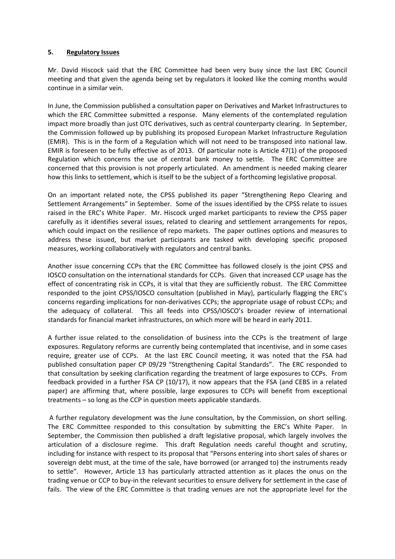#### **5. Regulatory Issues**

Mr. David Hiscock said that the ERC Committee had been very busy since the last ERC Council meeting and that given the agenda being set by regulators it looked like the coming months would continue in a similar vein.

In June, the Commission published a consultation paper on Derivatives and Market Infrastructures to which the ERC Committee submitted a response. Many elements of the contemplated regulation impact more broadly than just OTC derivatives, such as central counterparty clearing. In September, the Commission followed up by publishing its proposed European Market Infrastructure Regulation (EMIR). This is in the form of a Regulation which will not need to be transposed into national law. EMIR is foreseen to be fully effective as of 2013. Of particular note is Article 47(1) of the proposed Regulation which concerns the use of central bank money to settle. The ERC Committee are concerned that this provision is not properly articulated. An amendment is needed making clearer how this links to settlement, which is itself to be the subject of a forthcoming legislative proposal.

On an important related note, the CPSS published its paper "Strengthening Repo Clearing and Settlement Arrangements" in September. Some of the issues identified by the CPSS relate to issues raised in the ERC's White Paper. Mr. Hiscock urged market participants to review the CPSS paper carefully as it identifies several issues, related to clearing and settlement arrangements for repos, which could impact on the resilience of repo markets. The paper outlines options and measures to address these issued, but market participants are tasked with developing specific proposed measures, working collaboratively with regulators and central banks.

Another issue concerning CCPs that the ERC Committee has followed closely is the joint CPSS and IOSCO consultation on the international standards for CCPs. Given that increased CCP usage has the effect of concentrating risk in CCPs, it is vital that they are sufficiently robust. The ERC Committee responded to the joint CPSS/IOSCO consultation (published in May), particularly flagging the ERC's concerns regarding implications for non‐derivatives CCPs; the appropriate usage of robust CCPs; and the adequacy of collateral. This all feeds into CPSS/IOSCO's broader review of international standards for financial market infrastructures, on which more will be heard in early 2011.

A further issue related to the consolidation of business into the CCPs is the treatment of large exposures. Regulatory reforms are currently being contemplated that incentivise, and in some cases require, greater use of CCPs. At the last ERC Council meeting, it was noted that the FSA had published consultation paper CP 09/29 "Strengthening Capital Standards". The ERC responded to that consultation by seeking clarification regarding the treatment of large exposures to CCPs. From feedback provided in a further FSA CP (10/17), it now appears that the FSA (and CEBS in a related paper) are affirming that, where possible, large exposures to CCPs will benefit from exceptional treatments – so long as the CCP in question meets applicable standards.

A further regulatory development was the June consultation, by the Commission, on short selling. The ERC Committee responded to this consultation by submitting the ERC's White Paper. In September, the Commission then published a draft legislative proposal, which largely involves the articulation of a disclosure regime. This draft Regulation needs careful thought and scrutiny, including for instance with respect to its proposal that "Persons entering into short sales of shares or sovereign debt must, at the time of the sale, have borrowed (or arranged to) the instruments ready to settle". However, Article 13 has particularly attracted attention as it places the onus on the trading venue or CCP to buy‐in the relevant securities to ensure delivery for settlement in the case of fails. The view of the ERC Committee is that trading venues are not the appropriate level for the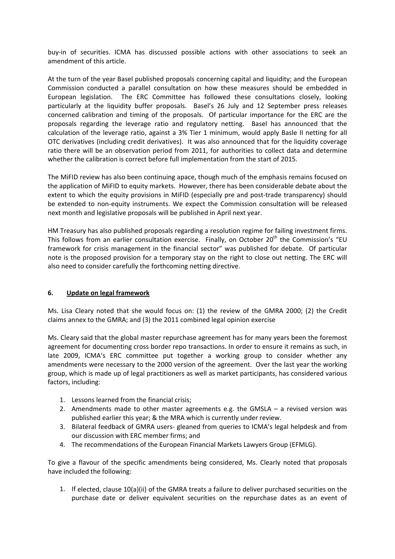buy‐in of securities. ICMA has discussed possible actions with other associations to seek an amendment of this article.

At the turn of the year Basel published proposals concerning capital and liquidity; and the European Commission conducted a parallel consultation on how these measures should be embedded in European legislation. The ERC Committee has followed these consultations closely, looking particularly at the liquidity buffer proposals. Basel's 26 July and 12 September press releases concerned calibration and timing of the proposals. Of particular importance for the ERC are the proposals regarding the leverage ratio and regulatory netting. Basel has announced that the calculation of the leverage ratio, against a 3% Tier 1 minimum, would apply Basle II netting for all OTC derivatives (including credit derivatives). It was also announced that for the liquidity coverage ratio there will be an observation period from 2011, for authorities to collect data and determine whether the calibration is correct before full implementation from the start of 2015.

The MiFID review has also been continuing apace, though much of the emphasis remains focused on the application of MiFID to equity markets. However, there has been considerable debate about the extent to which the equity provisions in MiFID (especially pre and post-trade transparency) should be extended to non-equity instruments. We expect the Commission consultation will be released next month and legislative proposals will be published in April next year.

HM Treasury has also published proposals regarding a resolution regime for failing investment firms. This follows from an earlier consultation exercise. Finally, on October 20<sup>th</sup> the Commission's "EU framework for crisis management in the financial sector" was published for debate. Of particular note is the proposed provision for a temporary stay on the right to close out netting. The ERC will also need to consider carefully the forthcoming netting directive.

# **6. Update on legal framework**

Ms. Lisa Cleary noted that she would focus on: (1) the review of the GMRA 2000; (2) the Credit claims annex to the GMRA; and (3) the 2011 combined legal opinion exercise

Ms. Cleary said that the global master repurchase agreement has for many years been the foremost agreement for documenting cross border repo transactions. In order to ensure it remains as such, in late 2009, ICMA's ERC committee put together a working group to consider whether any amendments were necessary to the 2000 version of the agreement. Over the last year the working group, which is made up of legal practitioners as well as market participants, has considered various factors, including:

- 1. Lessons learned from the financial crisis;
- 2. Amendments made to other master agreements e.g. the GMSLA a revised version was published earlier this year; & the MRA which is currently under review.
- 3. Bilateral feedback of GMRA users‐ gleaned from queries to ICMA's legal helpdesk and from our discussion with ERC member firms; and
- 4. The recommendations of the European Financial Markets Lawyers Group (EFMLG).

To give a flavour of the specific amendments being considered, Ms. Clearly noted that proposals have included the following:

1. If elected, clause 10(a)(ii) of the GMRA treats a failure to deliver purchased securities on the purchase date or deliver equivalent securities on the repurchase dates as an event of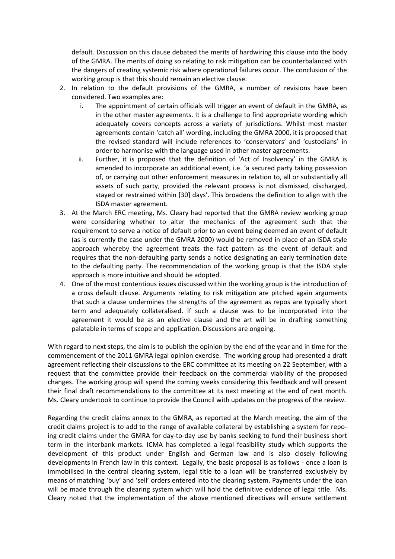default. Discussion on this clause debated the merits of hardwiring this clause into the body of the GMRA. The merits of doing so relating to risk mitigation can be counterbalanced with the dangers of creating systemic risk where operational failures occur. The conclusion of the working group is that this should remain an elective clause.

- 2. In relation to the default provisions of the GMRA, a number of revisions have been considered. Two examples are:
	- i. The appointment of certain officials will trigger an event of default in the GMRA, as in the other master agreements. It is a challenge to find appropriate wording which adequately covers concepts across a variety of jurisdictions. Whilst most master agreements contain 'catch all' wording, including the GMRA 2000, it is proposed that the revised standard will include references to 'conservators' and 'custodians' in order to harmonise with the language used in other master agreements.
	- ii. Further, it is proposed that the definition of 'Act of Insolvency' in the GMRA is amended to incorporate an additional event, i.e. 'a secured party taking possession of, or carrying out other enforcement measures in relation to, all or substantially all assets of such party, provided the relevant process is not dismissed, discharged, stayed or restrained within [30] days'. This broadens the definition to align with the ISDA master agreement.
- 3. At the March ERC meeting, Ms. Cleary had reported that the GMRA review working group were considering whether to alter the mechanics of the agreement such that the requirement to serve a notice of default prior to an event being deemed an event of default (as is currently the case under the GMRA 2000) would be removed in place of an ISDA style approach whereby the agreement treats the fact pattern as the event of default and requires that the non-defaulting party sends a notice designating an early termination date to the defaulting party. The recommendation of the working group is that the ISDA style approach is more intuitive and should be adopted.
- 4. One of the most contentious issues discussed within the working group is the introduction of a cross default clause. Arguments relating to risk mitigation are pitched again arguments that such a clause undermines the strengths of the agreement as repos are typically short term and adequately collateralised. If such a clause was to be incorporated into the agreement it would be as an elective clause and the art will be in drafting something palatable in terms of scope and application. Discussions are ongoing.

With regard to next steps, the aim is to publish the opinion by the end of the year and in time for the commencement of the 2011 GMRA legal opinion exercise. The working group had presented a draft agreement reflecting their discussions to the ERC committee at its meeting on 22 September, with a request that the committee provide their feedback on the commercial viability of the proposed changes. The working group will spend the coming weeks considering this feedback and will present their final draft recommendations to the committee at its next meeting at the end of next month. Ms. Cleary undertook to continue to provide the Council with updates on the progress of the review.

Regarding the credit claims annex to the GMRA, as reported at the March meeting, the aim of the credit claims project is to add to the range of available collateral by establishing a system for repo‐ ing credit claims under the GMRA for day‐to‐day use by banks seeking to fund their business short term in the interbank markets. ICMA has completed a legal feasibility study which supports the development of this product under English and German law and is also closely following developments in French law in this context. Legally, the basic proposal is as follows ‐ once a loan is immobilised in the central clearing system, legal title to a loan will be transferred exclusively by means of matching 'buy' and 'sell' orders entered into the clearing system. Payments under the loan will be made through the clearing system which will hold the definitive evidence of legal title. Ms. Cleary noted that the implementation of the above mentioned directives will ensure settlement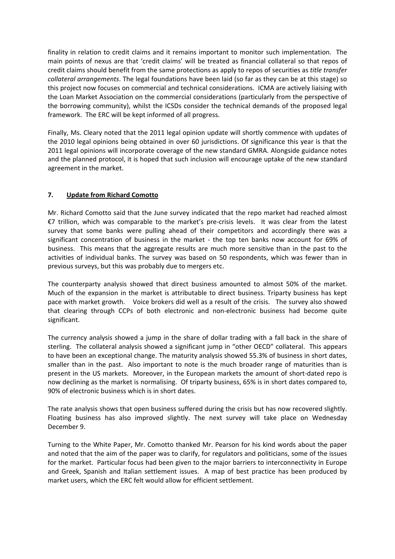finality in relation to credit claims and it remains important to monitor such implementation. The main points of nexus are that 'credit claims' will be treated as financial collateral so that repos of credit claims should benefit from the same protections as apply to repos of securities as *title transfer collateral arrangements*. The legal foundations have been laid (so far as they can be at this stage) so this project now focuses on commercial and technical considerations. ICMA are actively liaising with the Loan Market Association on the commercial considerations (particularly from the perspective of the borrowing community), whilst the ICSDs consider the technical demands of the proposed legal framework. The ERC will be kept informed of all progress.

Finally, Ms. Cleary noted that the 2011 legal opinion update will shortly commence with updates of the 2010 legal opinions being obtained in over 60 jurisdictions. Of significance this year is that the 2011 legal opinions will incorporate coverage of the new standard GMRA. Alongside guidance notes and the planned protocol, it is hoped that such inclusion will encourage uptake of the new standard agreement in the market.

# **7. Update from Richard Comotto**

Mr. Richard Comotto said that the June survey indicated that the repo market had reached almost €7 trillion, which was comparable to the market's pre‐crisis levels. It was clear from the latest survey that some banks were pulling ahead of their competitors and accordingly there was a significant concentration of business in the market - the top ten banks now account for 69% of business. This means that the aggregate results are much more sensitive than in the past to the activities of individual banks. The survey was based on 50 respondents, which was fewer than in previous surveys, but this was probably due to mergers etc.

The counterparty analysis showed that direct business amounted to almost 50% of the market. Much of the expansion in the market is attributable to direct business. Triparty business has kept pace with market growth. Voice brokers did well as a result of the crisis. The survey also showed that clearing through CCPs of both electronic and non‐electronic business had become quite significant.

The currency analysis showed a jump in the share of dollar trading with a fall back in the share of sterling. The collateral analysis showed a significant jump in "other OECD" collateral. This appears to have been an exceptional change. The maturity analysis showed 55.3% of business in short dates, smaller than in the past. Also important to note is the much broader range of maturities than is present in the US markets. Moreover, in the European markets the amount of short‐dated repo is now declining as the market is normalising. Of triparty business, 65% is in short dates compared to, 90% of electronic business which is in short dates.

The rate analysis shows that open business suffered during the crisis but has now recovered slightly. Floating business has also improved slightly. The next survey will take place on Wednesday December 9.

Turning to the White Paper, Mr. Comotto thanked Mr. Pearson for his kind words about the paper and noted that the aim of the paper was to clarify, for regulators and politicians, some of the issues for the market. Particular focus had been given to the major barriers to interconnectivity in Europe and Greek, Spanish and Italian settlement issues. A map of best practice has been produced by market users, which the ERC felt would allow for efficient settlement.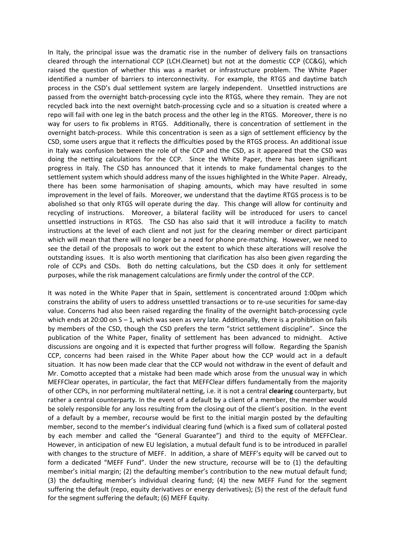In Italy, the principal issue was the dramatic rise in the number of delivery fails on transactions cleared through the international CCP (LCH.Clearnet) but not at the domestic CCP (CC&G), which raised the question of whether this was a market or infrastructure problem. The White Paper identified a number of barriers to interconnectivity. For example, the RTGS and daytime batch process in the CSD's dual settlement system are largely independent. Unsettled instructions are passed from the overnight batch‐processing cycle into the RTGS, where they remain. They are not recycled back into the next overnight batch‐processing cycle and so a situation is created where a repo will fail with one leg in the batch process and the other leg in the RTGS. Moreover, there is no way for users to fix problems in RTGS. Additionally, there is concentration of settlement in the overnight batch‐process. While this concentration is seen as a sign of settlement efficiency by the CSD, some users argue that it reflects the difficulties posed by the RTGS process. An additional issue in Italy was confusion between the role of the CCP and the CSD, as it appeared that the CSD was doing the netting calculations for the CCP. Since the White Paper, there has been significant progress in Italy. The CSD has announced that it intends to make fundamental changes to the settlement system which should address many of the issues highlighted in the White Paper. Already, there has been some harmonisation of shaping amounts, which may have resulted in some improvement in the level of fails. Moreover, we understand that the daytime RTGS process is to be abolished so that only RTGS will operate during the day. This change will allow for continuity and recycling of instructions. Moreover, a bilateral facility will be introduced for users to cancel unsettled instructions in RTGS. The CSD has also said that it will introduce a facility to match instructions at the level of each client and not just for the clearing member or direct participant which will mean that there will no longer be a need for phone pre-matching. However, we need to see the detail of the proposals to work out the extent to which these alterations will resolve the outstanding issues. It is also worth mentioning that clarification has also been given regarding the role of CCPs and CSDs. Both do netting calculations, but the CSD does it only for settlement purposes, while the risk management calculations are firmly under the control of the CCP.

It was noted in the White Paper that in Spain, settlement is concentrated around 1:00pm which constrains the ability of users to address unsettled transactions or to re‐use securities for same‐day value. Concerns had also been raised regarding the finality of the overnight batch‐processing cycle which ends at 20:00 on  $S - 1$ , which was seen as very late. Additionally, there is a prohibition on fails by members of the CSD, though the CSD prefers the term "strict settlement discipline". Since the publication of the White Paper, finality of settlement has been advanced to midnight. Active discussions are ongoing and it is expected that further progress will follow. Regarding the Spanish CCP, concerns had been raised in the White Paper about how the CCP would act in a default situation. It has now been made clear that the CCP would not withdraw in the event of default and Mr. Comotto accepted that a mistake had been made which arose from the unusual way in which MEFFClear operates, in particular, the fact that MEFFClear differs fundamentally from the majority of other CCPs, in nor performing multilateral netting, i.e. it is not a central **clearing** counterparty, but rather a central counterparty. In the event of a default by a client of a member, the member would be solely responsible for any loss resulting from the closing out of the client's position. In the event of a default by a member, recourse would be first to the initial margin posted by the defaulting member, second to the member's individual clearing fund (which is a fixed sum of collateral posted by each member and called the "General Guarantee") and third to the equity of MEFFClear. However, in anticipation of new EU legislation, a mutual default fund is to be introduced in parallel with changes to the structure of MEFF. In addition, a share of MEFF's equity will be carved out to form a dedicated "MEFF Fund". Under the new structure, recourse will be to (1) the defaulting member's initial margin; (2) the defaulting member's contribution to the new mutual default fund; (3) the defaulting member's individual clearing fund; (4) the new MEFF Fund for the segment suffering the default (repo, equity derivatives or energy derivatives); (5) the rest of the default fund for the segment suffering the default; (6) MEFF Equity.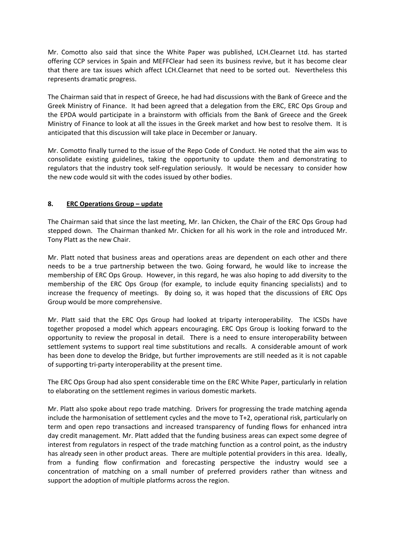Mr. Comotto also said that since the White Paper was published, LCH.Clearnet Ltd. has started offering CCP services in Spain and MEFFClear had seen its business revive, but it has become clear that there are tax issues which affect LCH.Clearnet that need to be sorted out. Nevertheless this represents dramatic progress.

The Chairman said that in respect of Greece, he had had discussions with the Bank of Greece and the Greek Ministry of Finance. It had been agreed that a delegation from the ERC, ERC Ops Group and the EPDA would participate in a brainstorm with officials from the Bank of Greece and the Greek Ministry of Finance to look at all the issues in the Greek market and how best to resolve them. It is anticipated that this discussion will take place in December or January.

Mr. Comotto finally turned to the issue of the Repo Code of Conduct. He noted that the aim was to consolidate existing guidelines, taking the opportunity to update them and demonstrating to regulators that the industry took self‐regulation seriously. It would be necessary to consider how the new code would sit with the codes issued by other bodies.

# **8. ERC Operations Group – update**

The Chairman said that since the last meeting, Mr. Ian Chicken, the Chair of the ERC Ops Group had stepped down. The Chairman thanked Mr. Chicken for all his work in the role and introduced Mr. Tony Platt as the new Chair.

Mr. Platt noted that business areas and operations areas are dependent on each other and there needs to be a true partnership between the two. Going forward, he would like to increase the membership of ERC Ops Group. However, in this regard, he was also hoping to add diversity to the membership of the ERC Ops Group (for example, to include equity financing specialists) and to increase the frequency of meetings. By doing so, it was hoped that the discussions of ERC Ops Group would be more comprehensive.

Mr. Platt said that the ERC Ops Group had looked at triparty interoperability. The ICSDs have together proposed a model which appears encouraging. ERC Ops Group is looking forward to the opportunity to review the proposal in detail. There is a need to ensure interoperability between settlement systems to support real time substitutions and recalls. A considerable amount of work has been done to develop the Bridge, but further improvements are still needed as it is not capable of supporting tri‐party interoperability at the present time.

The ERC Ops Group had also spent considerable time on the ERC White Paper, particularly in relation to elaborating on the settlement regimes in various domestic markets.

Mr. Platt also spoke about repo trade matching. Drivers for progressing the trade matching agenda include the harmonisation of settlement cycles and the move to T+2, operational risk, particularly on term and open repo transactions and increased transparency of funding flows for enhanced intra day credit management. Mr. Platt added that the funding business areas can expect some degree of interest from regulators in respect of the trade matching function as a control point, as the industry has already seen in other product areas. There are multiple potential providers in this area. Ideally, from a funding flow confirmation and forecasting perspective the industry would see a concentration of matching on a small number of preferred providers rather than witness and support the adoption of multiple platforms across the region.